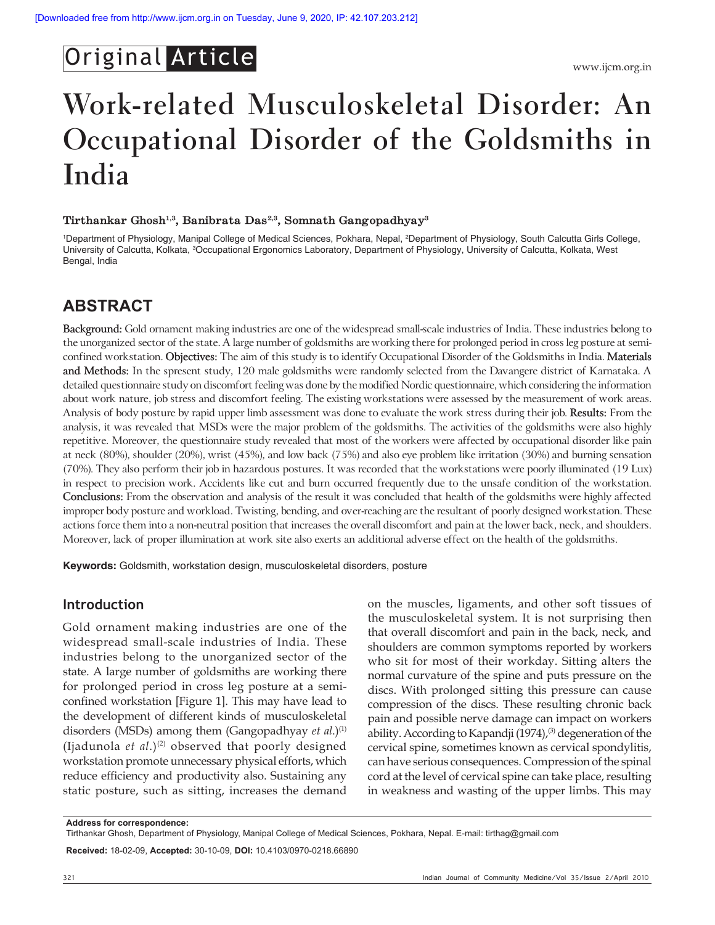## Original Article

# **Work-related Musculoskeletal Disorder: An Occupational Disorder of the Goldsmiths in India**

#### **Tirthankar Ghosh1,3, Banibrata Das2,3, Somnath Gangopadhyay3**

<sup>1</sup>Department of Physiology, Manipal College of Medical Sciences, Pokhara, Nepal, <sup>2</sup>Department of Physiology, South Calcutta Girls College, University of Calcutta, Kolkata, <sup>3</sup>Occupational Ergonomics Laboratory, Department of Physiology, University of Calcutta, Kolkata, West Bengal, India

### **ABSTRACT**

**Background:** Gold ornament making industries are one of the widespread small-scale industries of India. These industries belong to the unorganized sector of the state. A large number of goldsmiths are working there for prolonged period in cross leg posture at semiconfined workstation. **Objectives:** The aim of this study is to identify Occupational Disorder of the Goldsmiths in India. **Materials and Methods:** In the spresent study, 120 male goldsmiths were randomly selected from the Davangere district of Karnataka. A detailed questionnaire study on discomfort feeling was done by the modified Nordic questionnaire, which considering the information about work nature, job stress and discomfort feeling. The existing workstations were assessed by the measurement of work areas. Analysis of body posture by rapid upper limb assessment was done to evaluate the work stress during their job. **Results:** From the analysis, it was revealed that MSDs were the major problem of the goldsmiths. The activities of the goldsmiths were also highly repetitive. Moreover, the questionnaire study revealed that most of the workers were affected by occupational disorder like pain at neck (80%), shoulder (20%), wrist (45%), and low back (75%) and also eye problem like irritation (30%) and burning sensation (70%). They also perform their job in hazardous postures. It was recorded that the workstations were poorly illuminated (19 Lux) in respect to precision work. Accidents like cut and burn occurred frequently due to the unsafe condition of the workstation. **Conclusions:** From the observation and analysis of the result it was concluded that health of the goldsmiths were highly affected improper body posture and workload. Twisting, bending, and over-reaching are the resultant of poorly designed workstation. These actions force them into a non-neutral position that increases the overall discomfort and pain at the lower back, neck, and shoulders. Moreover, lack of proper illumination at work site also exerts an additional adverse effect on the health of the goldsmiths.

**Keywords:** Goldsmith, workstation design, musculoskeletal disorders, posture

#### **Introduction**

Gold ornament making industries are one of the widespread small-scale industries of India. These industries belong to the unorganized sector of the state. A large number of goldsmiths are working there for prolonged period in cross leg posture at a semiconfined workstation [Figure 1]. This may have lead to the development of different kinds of musculoskeletal disorders (MSDs) among them (Gangopadhyay *et al.*)<sup>(1)</sup> (Ijadunola *et al*.)(2) observed that poorly designed workstation promote unnecessary physical efforts, which reduce efficiency and productivity also. Sustaining any static posture, such as sitting, increases the demand

on the muscles, ligaments, and other soft tissues of the musculoskeletal system. It is not surprising then that overall discomfort and pain in the back, neck, and shoulders are common symptoms reported by workers who sit for most of their workday. Sitting alters the normal curvature of the spine and puts pressure on the discs. With prolonged sitting this pressure can cause compression of the discs. These resulting chronic back pain and possible nerve damage can impact on workers ability. According to Kapandji (1974),<sup>(3)</sup> degeneration of the cervical spine, sometimes known as cervical spondylitis, can have serious consequences. Compression of the spinal cord at the level of cervical spine can take place, resulting in weakness and wasting of the upper limbs. This may

**Received:** 18-02-09, **Accepted:** 30-10-09, **DOI:** 10.4103/0970-0218.66890

**Address for correspondence:**

Tirthankar Ghosh, Department of Physiology, Manipal College of Medical Sciences, Pokhara, Nepal. E-mail: tirthag@gmail.com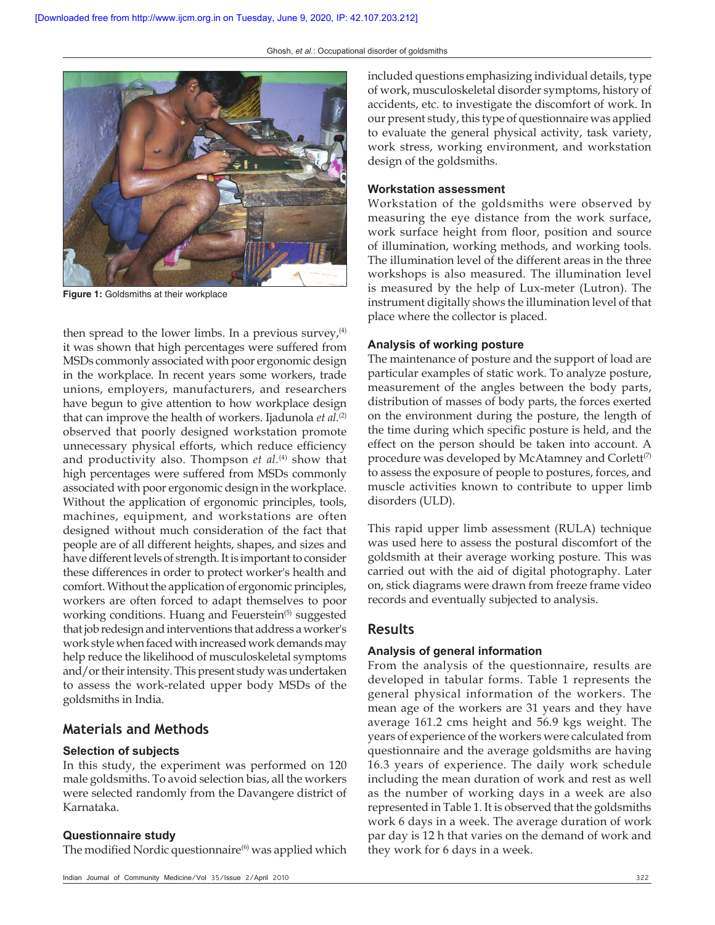

**Figure 1:** Goldsmiths at their workplace

then spread to the lower limbs. In a previous survey, $(4)$ it was shown that high percentages were suffered from MSDs commonly associated with poor ergonomic design in the workplace. In recent years some workers, trade unions, employers, manufacturers, and researchers have begun to give attention to how workplace design that can improve the health of workers. Ijadunola *et al.*<sup>(2)</sup> observed that poorly designed workstation promote unnecessary physical efforts, which reduce efficiency and productivity also. Thompson *et al.*<sup>(4)</sup> show that high percentages were suffered from MSDs commonly associated with poor ergonomic design in the workplace. Without the application of ergonomic principles, tools, machines, equipment, and workstations are often designed without much consideration of the fact that people are of all different heights, shapes, and sizes and have different levels of strength. It is important to consider these differences in order to protect worker's health and comfort. Without the application of ergonomic principles, workers are often forced to adapt themselves to poor working conditions. Huang and Feuerstein<sup>(5)</sup> suggested that job redesign and interventions that address a worker's work style when faced with increased work demands may help reduce the likelihood of musculoskeletal symptoms and/or their intensity. This present study was undertaken to assess the work-related upper body MSDs of the goldsmiths in India.

#### **Materials and Methods**

#### **Selection of subjects**

In this study, the experiment was performed on 120 male goldsmiths. To avoid selection bias, all the workers were selected randomly from the Davangere district of Karnataka.

#### **Questionnaire study**

The modified Nordic questionnaire $(6)$  was applied which

included questions emphasizing individual details, type of work, musculoskeletal disorder symptoms, history of accidents, etc. to investigate the discomfort of work. In our present study, this type of questionnaire was applied to evaluate the general physical activity, task variety, work stress, working environment, and workstation design of the goldsmiths.

#### **Workstation assessment**

Workstation of the goldsmiths were observed by measuring the eye distance from the work surface, work surface height from floor, position and source of illumination, working methods, and working tools. The illumination level of the different areas in the three workshops is also measured. The illumination level is measured by the help of Lux-meter (Lutron). The instrument digitally shows the illumination level of that place where the collector is placed.

#### **Analysis of working posture**

The maintenance of posture and the support of load are particular examples of static work. To analyze posture, measurement of the angles between the body parts, distribution of masses of body parts, the forces exerted on the environment during the posture, the length of the time during which specific posture is held, and the effect on the person should be taken into account. A procedure was developed by McAtamney and Corlett $(7)$ to assess the exposure of people to postures, forces, and muscle activities known to contribute to upper limb disorders (ULD).

This rapid upper limb assessment (RULA) technique was used here to assess the postural discomfort of the goldsmith at their average working posture. This was carried out with the aid of digital photography. Later on, stick diagrams were drawn from freeze frame video records and eventually subjected to analysis.

#### **Results**

#### **Analysis of general information**

From the analysis of the questionnaire, results are developed in tabular forms. Table 1 represents the general physical information of the workers. The mean age of the workers are 31 years and they have average 161.2 cms height and 56.9 kgs weight. The years of experience of the workers were calculated from questionnaire and the average goldsmiths are having 16.3 years of experience. The daily work schedule including the mean duration of work and rest as well as the number of working days in a week are also represented in Table 1. It is observed that the goldsmiths work 6 days in a week. The average duration of work par day is 12 h that varies on the demand of work and they work for 6 days in a week.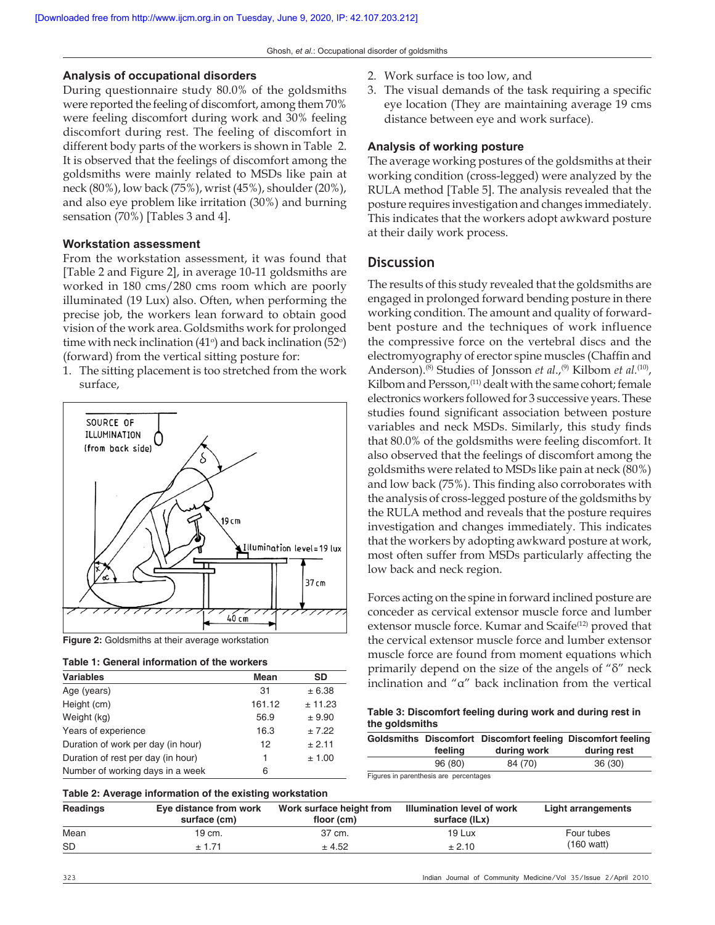#### **Analysis of occupational disorders**

During questionnaire study 80.0% of the goldsmiths were reported the feeling of discomfort, among them 70% were feeling discomfort during work and 30% feeling discomfort during rest. The feeling of discomfort in different body parts of the workers is shown in Table 2. It is observed that the feelings of discomfort among the goldsmiths were mainly related to MSDs like pain at neck (80%), low back (75%), wrist (45%), shoulder (20%), and also eye problem like irritation (30%) and burning sensation (70%) [Tables 3 and 4].

#### **Workstation assessment**

From the workstation assessment, it was found that [Table 2 and Figure 2], in average 10-11 goldsmiths are worked in 180 cms/280 cms room which are poorly illuminated (19 Lux) also. Often, when performing the precise job, the workers lean forward to obtain good vision of the work area. Goldsmiths work for prolonged time with neck inclination  $(41^{\circ})$  and back inclination  $(52^{\circ})$ (forward) from the vertical sitting posture for:

1. The sitting placement is too stretched from the work surface,



**Figure 2:** Goldsmiths at their average workstation

|  |  | Table 1: General information of the workers |  |  |  |
|--|--|---------------------------------------------|--|--|--|
|--|--|---------------------------------------------|--|--|--|

| <b>Variables</b>                   | Mean   | <b>SD</b> |
|------------------------------------|--------|-----------|
| Age (years)                        | 31     | ± 6.38    |
| Height (cm)                        | 161.12 | ± 11.23   |
| Weight (kg)                        | 56.9   | ± 9.90    |
| Years of experience                | 16.3   | ± 7.22    |
| Duration of work per day (in hour) | 12     | ± 2.11    |
| Duration of rest per day (in hour) | 1      | ± 1.00    |
| Number of working days in a week   | 6      |           |

- 2. Work surface is too low, and
- 3. The visual demands of the task requiring a specific eye location (They are maintaining average 19 cms distance between eye and work surface).

#### **Analysis of working posture**

The average working postures of the goldsmiths at their working condition (cross-legged) were analyzed by the RULA method [Table 5]. The analysis revealed that the posture requires investigation and changes immediately. This indicates that the workers adopt awkward posture at their daily work process.

#### **Discussion**

The results of this study revealed that the goldsmiths are engaged in prolonged forward bending posture in there working condition. The amount and quality of forwardbent posture and the techniques of work influence the compressive force on the vertebral discs and the electromyography of erector spine muscles (Chaffin and Anderson).<sup>(8)</sup> Studies of Jonsson *et al.*,<sup>(9)</sup> Kilbom *et al.*<sup>(10)</sup>, Kilbom and Persson,<sup>(11)</sup> dealt with the same cohort; female electronics workers followed for 3 successive years. These studies found significant association between posture variables and neck MSDs. Similarly, this study finds that 80.0% of the goldsmiths were feeling discomfort. It also observed that the feelings of discomfort among the goldsmiths were related to MSDs like pain at neck (80%) and low back (75%). This finding also corroborates with the analysis of cross-legged posture of the goldsmiths by the RULA method and reveals that the posture requires investigation and changes immediately. This indicates that the workers by adopting awkward posture at work, most often suffer from MSDs particularly affecting the low back and neck region.

Forces acting on the spine in forward inclined posture are conceder as cervical extensor muscle force and lumber extensor muscle force. Kumar and Scaife<sup>(12)</sup> proved that the cervical extensor muscle force and lumber extensor muscle force are found from moment equations which primarily depend on the size of the angels of "δ" neck inclination and "α" back inclination from the vertical

**Table 3: Discomfort feeling during work and during rest in the goldsmiths**

|     |         | Goldsmiths Discomfort Discomfort feeling Discomfort feeling |             |
|-----|---------|-------------------------------------------------------------|-------------|
|     | feeling | during work                                                 | during rest |
|     | 96 (80) | 84 (70)                                                     | 36(30)      |
| $-$ |         |                                                             |             |

Figures in parenthesis are percentages

#### **Table 2: Average information of the existing workstation**

| Readings  | Eye distance from work<br>surface (cm) | Work surface height from<br>floor (cm) | <b>Illumination level of work</b><br>surface (ILx) | Light arrangements |
|-----------|----------------------------------------|----------------------------------------|----------------------------------------------------|--------------------|
| Mean      | 19 cm.                                 | 37 cm.                                 | 19 Lux                                             | Four tubes         |
| <b>SD</b> | ± 1.71                                 | ± 4.52                                 | ± 2.10                                             | (160 watt)         |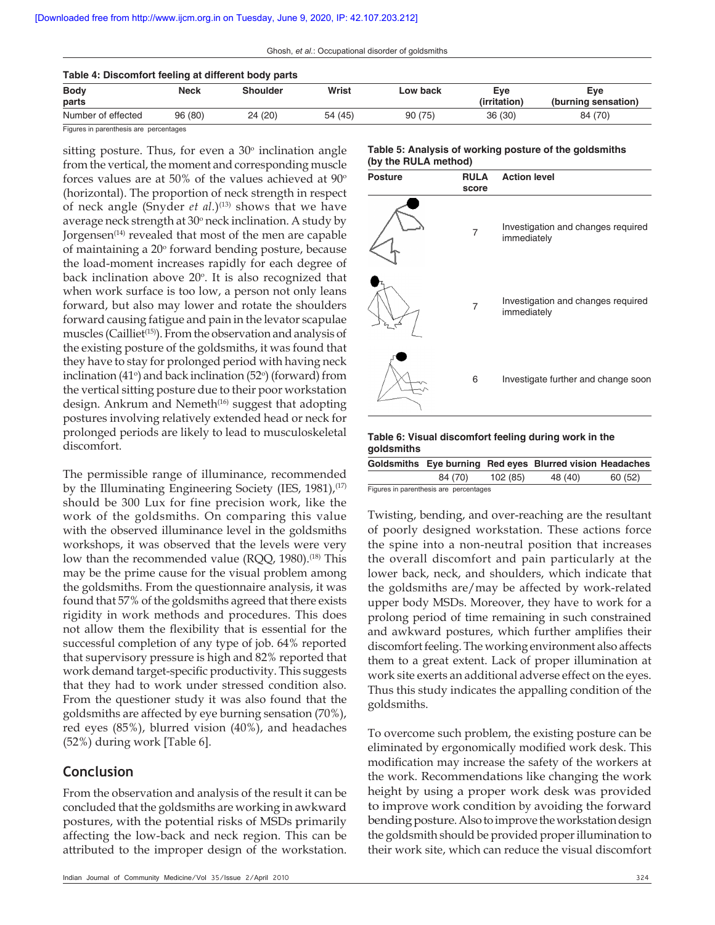| Table 4: Discomfort feeling at different body parts |         |          |         |          |              |                     |
|-----------------------------------------------------|---------|----------|---------|----------|--------------|---------------------|
| <b>Body</b>                                         | Neck    | Shoulder | Wrist   | Low back | Eve          | Eve                 |
| parts                                               |         |          |         |          | (irritation) | (burning sensation) |
| Number of effected                                  | 96 (80) | 24 (20)  | 54 (45) | 90(75)   | 36(30)       | 84 (70)             |
| Figures in normalizate are normalizated             |         |          |         |          |              |                     |

Figures in parenthesis are percentages

sitting posture. Thus, for even a  $30^{\circ}$  inclination angle from the vertical, the moment and corresponding muscle forces values are at 50% of the values achieved at  $90^\circ$ (horizontal). The proportion of neck strength in respect of neck angle (Snyder *et al.*)<sup>(13)</sup> shows that we have average neck strength at 30° neck inclination. A study by Jorgensen<sup>(14)</sup> revealed that most of the men are capable of maintaining a 20° forward bending posture, because the load-moment increases rapidly for each degree of back inclination above 20<sup>o</sup>. It is also recognized that when work surface is too low, a person not only leans forward, but also may lower and rotate the shoulders forward causing fatigue and pain in the levator scapulae muscles (Cailliet<sup>(15)</sup>). From the observation and analysis of the existing posture of the goldsmiths, it was found that they have to stay for prolonged period with having neck inclination (41 $\degree$ ) and back inclination (52 $\degree$ ) (forward) from the vertical sitting posture due to their poor workstation design. Ankrum and Nemeth<sup>(16)</sup> suggest that adopting postures involving relatively extended head or neck for prolonged periods are likely to lead to musculoskeletal discomfort.

The permissible range of illuminance, recommended by the Illuminating Engineering Society (IES,  $1981$ ),<sup>(17)</sup> should be 300 Lux for fine precision work, like the work of the goldsmiths. On comparing this value with the observed illuminance level in the goldsmiths workshops, it was observed that the levels were very low than the recommended value (RQQ, 1980).<sup>(18)</sup> This may be the prime cause for the visual problem among the goldsmiths. From the questionnaire analysis, it was found that 57% of the goldsmiths agreed that there exists rigidity in work methods and procedures. This does not allow them the flexibility that is essential for the successful completion of any type of job. 64% reported that supervisory pressure is high and 82% reported that work demand target-specific productivity. This suggests that they had to work under stressed condition also. From the questioner study it was also found that the goldsmiths are affected by eye burning sensation (70%), red eyes (85%), blurred vision (40%), and headaches (52%) during work [Table 6].

#### **Conclusion**

From the observation and analysis of the result it can be concluded that the goldsmiths are working in awkward postures, with the potential risks of MSDs primarily affecting the low-back and neck region. This can be attributed to the improper design of the workstation.

#### **Table 5: Analysis of working posture of the goldsmiths (by the RULA method)**

| <b>Posture</b> | <b>RULA</b><br>score | <b>Action level</b>                               |
|----------------|----------------------|---------------------------------------------------|
|                | 7                    | Investigation and changes required<br>immediately |
|                | 7                    | Investigation and changes required<br>immediately |
|                | 6                    | Investigate further and change soon               |

#### **Table 6: Visual discomfort feeling during work in the goldsmiths**

|                                        |         |         | Goldsmiths Eye burning Red eyes Blurred vision Headaches |         |  |  |
|----------------------------------------|---------|---------|----------------------------------------------------------|---------|--|--|
|                                        | 84 (70) | 102(85) | 48 (40)                                                  | 60 (52) |  |  |
| Figures in parenthesis are percentages |         |         |                                                          |         |  |  |

Twisting, bending, and over-reaching are the resultant of poorly designed workstation. These actions force the spine into a non-neutral position that increases the overall discomfort and pain particularly at the lower back, neck, and shoulders, which indicate that the goldsmiths are/may be affected by work-related upper body MSDs. Moreover, they have to work for a prolong period of time remaining in such constrained and awkward postures, which further amplifies their discomfort feeling. The working environment also affects them to a great extent. Lack of proper illumination at work site exerts an additional adverse effect on the eyes. Thus this study indicates the appalling condition of the goldsmiths.

To overcome such problem, the existing posture can be eliminated by ergonomically modified work desk. This modification may increase the safety of the workers at the work. Recommendations like changing the work height by using a proper work desk was provided to improve work condition by avoiding the forward bending posture. Also to improve the workstation design the goldsmith should be provided proper illumination to their work site, which can reduce the visual discomfort